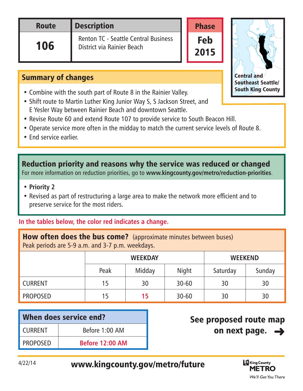| <b>Route</b> | <b>Description</b>                                                 |  |  |
|--------------|--------------------------------------------------------------------|--|--|
| 106          | Renton TC - Seattle Central Business<br>District via Rainier Beach |  |  |



Phase

Feb

2015

Central/Southeast Seattle

## Summary of changes

- Combine with the south part of Route 8 in the Rainier Valley.
- Shift route to Martin Luther King Junior Way S, S Jackson Street, and E Yesler Way between Rainier Beach and downtown Seattle.
- Revise Route 60 and extend Route 107 to provide service to South Beacon Hill.
- Operate service more often in the midday to match the current service levels of Route 8.
- End service earlier.

Reduction priority and reasons why the service was reduced or changed For more information on reduction priorities, go to **www.kingcounty.gov/metro/reduction-priorities**.

- **Priority 2**
- Revised as part of restructuring a large area to make the network more efficient and to preserve service for the most riders.

## **In the tables below, the color red indicates a change.**

| <b>How often does the bus come?</b> (approximate minutes between buses)<br>Peak periods are 5-9 a.m. and 3-7 p.m. weekdays. |      |                |                |          |        |  |  |
|-----------------------------------------------------------------------------------------------------------------------------|------|----------------|----------------|----------|--------|--|--|
|                                                                                                                             |      | <b>WEEKDAY</b> | <b>WEEKEND</b> |          |        |  |  |
|                                                                                                                             | Peak | Midday         | Night          | Saturday | Sunday |  |  |
| <b>CURRENT</b>                                                                                                              | 15   | 30             | $30 - 60$      | 30       | 30     |  |  |
| <b>PROPOSED</b>                                                                                                             | 15   | 15             | $30 - 60$      | 30       | 30     |  |  |

| When does service end? |                        |  |  |  |
|------------------------|------------------------|--|--|--|
| <b>CURRENT</b>         | Before 1:00 AM         |  |  |  |
| <b>PROPOSED</b>        | <b>Before 12:00 AM</b> |  |  |  |

## See proposed route map on next page.